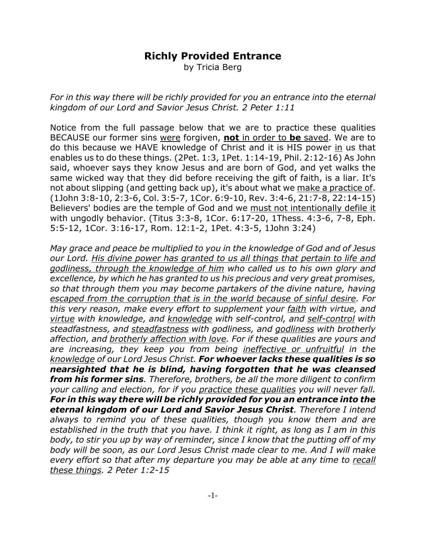## **Richly Provided Entrance**

by Tricia Berg

*For in this way there will be richly provided for you an entrance into the eternal kingdom of our Lord and Savior Jesus Christ. 2 Peter 1:11*

Notice from the full passage below that we are to practice these qualities BECAUSE our former sins were forgiven, **not** in order to **be** saved. We are to do this because we HAVE knowledge of Christ and it is HIS power in us that enables us to do these things. (2Pet. 1:3, 1Pet. 1:14-19, Phil. 2:12-16) As John said, whoever says they know Jesus and are born of God, and yet walks the same wicked way that they did before receiving the gift of faith, is a liar. It's not about slipping (and getting back up), it's about what we make a practice of. (1John 3:8-10, 2:3-6, Col. 3:5-7, 1Cor. 6:9-10, Rev. 3:4-6, 21:7-8, 22:14-15) Believers' bodies are the temple of God and we must not intentionally defile it with ungodly behavior. (Titus 3:3-8, 1Cor. 6:17-20, 1Thess. 4:3-6, 7-8, Eph. 5:5-12, 1Cor. 3:16-17, Rom. 12:1-2, 1Pet. 4:3-5, 1John 3:24)

*May grace and peace be multiplied to you in the knowledge of God and of Jesus our Lord. His divine power has granted to us all things that pertain to life and godliness, through the knowledge of him who called us to his own glory and excellence, by which he has granted to us his precious and very great promises, so that through them you may become partakers of the divine nature, having escaped from the corruption that is in the world because of sinful desire. For this very reason, make every effort to supplement your faith with virtue, and virtue with knowledge, and knowledge with self-control, and self-control with steadfastness, and steadfastness with godliness, and godliness with brotherly affection, and brotherly affection with love. For if these qualities are yours and are increasing, they keep you from being ineffective or unfruitful in the knowledge of our Lord Jesus Christ. For whoever lacks these qualities is so nearsighted that he is blind, having forgotten that he was cleansed from his former sins. Therefore, brothers, be all the more diligent to confirm your calling and election, for if you practice these qualities you will never fall. For in this way there will be richly provided for you an entrance into the eternal kingdom of our Lord and Savior Jesus Christ. Therefore I intend always to remind you of these qualities, though you know them and are established in the truth that you have. I think it right, as long as I am in this body, to stir you up by way of reminder, since I know that the putting off of my body will be soon, as our Lord Jesus Christ made clear to me. And I will make every effort so that after my departure you may be able at any time to recall these things. 2 Peter 1:2-15*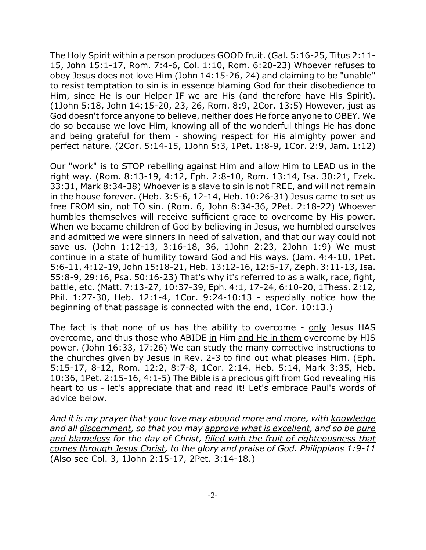The Holy Spirit within a person produces GOOD fruit. (Gal. 5:16-25, Titus 2:11- 15, John 15:1-17, Rom. 7:4-6, Col. 1:10, Rom. 6:20-23) Whoever refuses to obey Jesus does not love Him (John 14:15-26, 24) and claiming to be "unable" to resist temptation to sin is in essence blaming God for their disobedience to Him, since He is our Helper IF we are His (and therefore have His Spirit). (1John 5:18, John 14:15-20, 23, 26, Rom. 8:9, 2Cor. 13:5) However, just as God doesn't force anyone to believe, neither does He force anyone to OBEY. We do so because we love Him, knowing all of the wonderful things He has done and being grateful for them - showing respect for His almighty power and perfect nature. (2Cor. 5:14-15, 1John 5:3, 1Pet. 1:8-9, 1Cor. 2:9, Jam. 1:12)

Our "work" is to STOP rebelling against Him and allow Him to LEAD us in the right way. (Rom. 8:13-19, 4:12, Eph. 2:8-10, Rom. 13:14, Isa. 30:21, Ezek. 33:31, Mark 8:34-38) Whoever is a slave to sin is not FREE, and will not remain in the house forever. (Heb. 3:5-6, 12-14, Heb. 10:26-31) Jesus came to set us free FROM sin, not TO sin. (Rom. 6, John 8:34-36, 2Pet. 2:18-22) Whoever humbles themselves will receive sufficient grace to overcome by His power. When we became children of God by believing in Jesus, we humbled ourselves and admitted we were sinners in need of salvation, and that our way could not save us. (John 1:12-13, 3:16-18, 36, 1John 2:23, 2John 1:9) We must continue in a state of humility toward God and His ways. (Jam. 4:4-10, 1Pet. 5:6-11, 4:12-19, John 15:18-21, Heb. 13:12-16, 12:5-17, Zeph. 3:11-13, Isa. 55:8-9, 29:16, Psa. 50:16-23) That's why it's referred to as a walk, race, fight, battle, etc. (Matt. 7:13-27, 10:37-39, Eph. 4:1, 17-24, 6:10-20, 1Thess. 2:12, Phil. 1:27-30, Heb. 12:1-4, 1Cor. 9:24-10:13 - especially notice how the beginning of that passage is connected with the end, 1Cor. 10:13.)

The fact is that none of us has the ability to overcome - only Jesus HAS overcome, and thus those who ABIDE in Him and He in them overcome by HIS power. (John 16:33, 17:26) We can study the many corrective instructions to the churches given by Jesus in Rev. 2-3 to find out what pleases Him. (Eph. 5:15-17, 8-12, Rom. 12:2, 8:7-8, 1Cor. 2:14, Heb. 5:14, Mark 3:35, Heb. 10:36, 1Pet. 2:15-16, 4:1-5) The Bible is a precious gift from God revealing His heart to us - let's appreciate that and read it! Let's embrace Paul's words of advice below.

*And it is my prayer that your love may abound more and more, with knowledge and all discernment, so that you may approve what is excellent, and so be pure and blameless for the day of Christ, filled with the fruit of righteousness that comes through Jesus Christ, to the glory and praise of God. Philippians 1:9-11* (Also see Col. 3, 1John 2:15-17, 2Pet. 3:14-18.)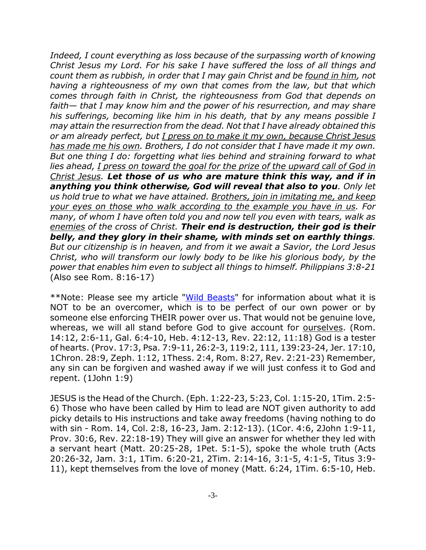*Indeed, I count everything as loss because of the surpassing worth of knowing Christ Jesus my Lord. For his sake I have suffered the loss of all things and count them as rubbish, in order that I may gain Christ and be found in him, not having a righteousness of my own that comes from the law, but that which comes through faith in Christ, the righteousness from God that depends on faith— that I may know him and the power of his resurrection, and may share his sufferings, becoming like him in his death, that by any means possible I may attain the resurrection from the dead. Not that I have already obtained this or am already perfect, but I press on to make it my own, because Christ Jesus has made me his own. Brothers, I do not consider that I have made it my own. But one thing I do: forgetting what lies behind and straining forward to what lies ahead, I press on toward the goal for the prize of the upward call of God in Christ Jesus. Let those of us who are mature think this way, and if in anything you think otherwise, God will reveal that also to you. Only let us hold true to what we have attained. Brothers, join in imitating me, and keep your eyes on those who walk according to the example you have in us. For many, of whom I have often told you and now tell you even with tears, walk as enemies of the cross of Christ. Their end is destruction, their god is their belly, and they glory in their shame, with minds set on earthly things. But our citizenship is in heaven, and from it we await a Savior, the Lord Jesus Christ, who will transform our lowly body to be like his glorious body, by the power that enables him even to subject all things to himself. Philippians 3:8-21* (Also see Rom. 8:16-17)

\*\*Note: Please see my article "Wild Beasts" for information about what it is NOT to be an overcomer, which is to be perfect of our own power or by someone else enforcing THEIR power over us. That would not be genuine love, whereas, we will all stand before God to give account for ourselves. (Rom. 14:12, 2:6-11, Gal. 6:4-10, Heb. 4:12-13, Rev. 22:12, 11:18) God is a tester of hearts. (Prov. 17:3, Psa. 7:9-11, 26:2-3, 119:2, 111, 139:23-24, Jer. 17:10, 1Chron. 28:9, Zeph. 1:12, 1Thess. 2:4, Rom. 8:27, Rev. 2:21-23) Remember, any sin can be forgiven and washed away if we will just confess it to God and repent. (1John 1:9)

JESUS is the Head of the Church. (Eph. 1:22-23, 5:23, Col. 1:15-20, 1Tim. 2:5- 6) Those who have been called by Him to lead are NOT given authority to add picky details to His instructions and take away freedoms (having nothing to do with sin - Rom. 14, Col. 2:8, 16-23, Jam. 2:12-13). (1Cor. 4:6, 2John 1:9-11, Prov. 30:6, Rev. 22:18-19) They will give an answer for whether they led with a servant heart (Matt. 20:25-28, 1Pet. 5:1-5), spoke the whole truth (Acts 20:26-32, Jam. 3:1, 1Tim. 6:20-21, 2Tim. 2:14-16, 3:1-5, 4:1-5, Titus 3:9- 11), kept themselves from the love of money (Matt. 6:24, 1Tim. 6:5-10, Heb.